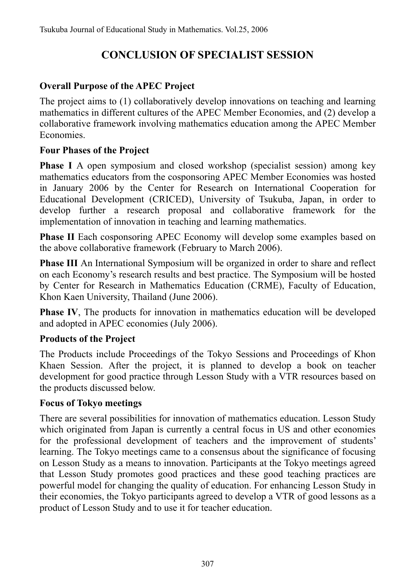# **CONCLUSION OF SPECIALIST SESSION**

# **Overall Purpose of the APEC Project**

The project aims to (1) collaboratively develop innovations on teaching and learning mathematics in different cultures of the APEC Member Economies, and (2) develop a collaborative framework involving mathematics education among the APEC Member Economies.

## **Four Phases of the Project**

**Phase I** A open symposium and closed workshop (specialist session) among key mathematics educators from the cosponsoring APEC Member Economies was hosted in January 2006 by the Center for Research on International Cooperation for Educational Development (CRICED), University of Tsukuba, Japan, in order to develop further a research proposal and collaborative framework for the implementation of innovation in teaching and learning mathematics.

**Phase II** Each cosponsoring APEC Economy will develop some examples based on the above collaborative framework (February to March 2006).

**Phase III** An International Symposium will be organized in order to share and reflect on each Economy's research results and best practice. The Symposium will be hosted by Center for Research in Mathematics Education (CRME), Faculty of Education, Khon Kaen University, Thailand (June 2006).

**Phase IV**, The products for innovation in mathematics education will be developed and adopted in APEC economies (July 2006).

## **Products of the Project**

The Products include Proceedings of the Tokyo Sessions and Proceedings of Khon Khaen Session. After the project, it is planned to develop a book on teacher development for good practice through Lesson Study with a VTR resources based on the products discussed below.

## **Focus of Tokyo meetings**

There are several possibilities for innovation of mathematics education. Lesson Study which originated from Japan is currently a central focus in US and other economies for the professional development of teachers and the improvement of students' learning. The Tokyo meetings came to a consensus about the significance of focusing on Lesson Study as a means to innovation. Participants at the Tokyo meetings agreed that Lesson Study promotes good practices and these good teaching practices are powerful model for changing the quality of education. For enhancing Lesson Study in their economies, the Tokyo participants agreed to develop a VTR of good lessons as a product of Lesson Study and to use it for teacher education.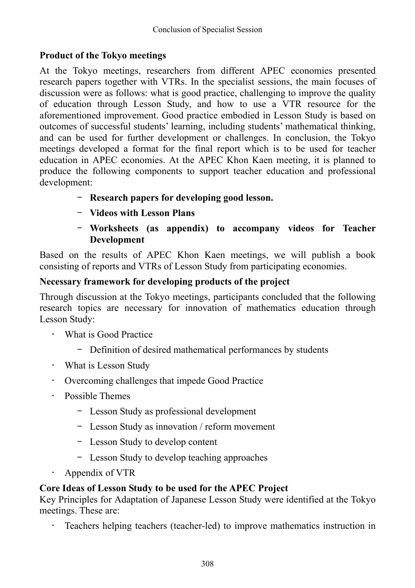# **Product of the Tokyo meetings**

At the Tokyo meetings, researchers from different APEC economies presented research papers together with VTRs. In the specialist sessions, the main focuses of discussion were as follows: what is good practice, challenging to improve the quality of education through Lesson Study, and how to use a VTR resource for the aforementioned improvement. Good practice embodied in Lesson Study is based on outcomes of successful students' learning, including students' mathematical thinking, and can be used for further development or challenges. In conclusion, the Tokyo meetings developed a format for the final report which is to be used for teacher education in APEC economies. At the APEC Khon Kaen meeting, it is planned to produce the following components to support teacher education and professional development:

- **Research papers for developing good lesson.**
- **Videos with Lesson Plans**
- **Worksheets (as appendix) to accompany videos for Teacher Development**

Based on the results of APEC Khon Kaen meetings, we will publish a book consisting of reports and VTRs of Lesson Study from participating economies.

## **Necessary framework for developing products of the project**

Through discussion at the Tokyo meetings, participants concluded that the following research topics are necessary for innovation of mathematics education through Lesson Study:

- What is Good Practice
	- Definition of desired mathematical performances by students
- What is Lesson Study
- Overcoming challenges that impede Good Practice
- Possible Themes
	- Lesson Study as professional development
	- Lesson Study as innovation / reform movement
	- Lesson Study to develop content
	- Lesson Study to develop teaching approaches
- Appendix of VTR

## **Core Ideas of Lesson Study to be used for the APEC Project**

Key Principles for Adaptation of Japanese Lesson Study were identified at the Tokyo meetings. These are:

• Teachers helping teachers (teacher-led) to improve mathematics instruction in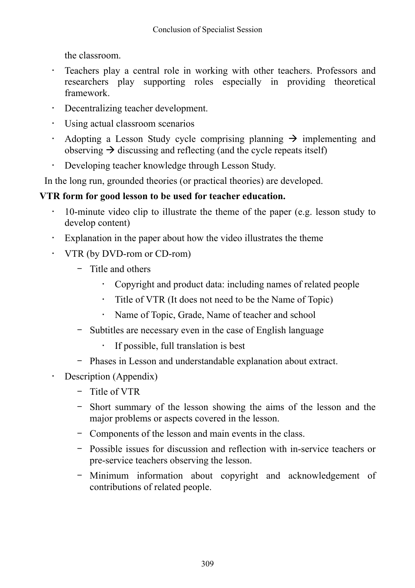the classroom.

- Teachers play a central role in working with other teachers. Professors and researchers play supporting roles especially in providing theoretical framework.
- Decentralizing teacher development.
- Using actual classroom scenarios
- Adopting a Lesson Study cycle comprising planning  $\rightarrow$  implementing and observing  $\rightarrow$  discussing and reflecting (and the cycle repeats itself)
- Developing teacher knowledge through Lesson Study.

In the long run, grounded theories (or practical theories) are developed.

# **VTR form for good lesson to be used for teacher education.**

- 10-minute video clip to illustrate the theme of the paper (e.g. lesson study to develop content)
- Explanation in the paper about how the video illustrates the theme
- VTR (by DVD-rom or CD-rom)
	- Title and others
		- Copyright and product data: including names of related people
		- Title of VTR (It does not need to be the Name of Topic)
		- Name of Topic, Grade, Name of teacher and school
	- Subtitles are necessary even in the case of English language
		- If possible, full translation is best
	- Phases in Lesson and understandable explanation about extract.
- Description (Appendix)
	- Title of VTR
	- Short summary of the lesson showing the aims of the lesson and the major problems or aspects covered in the lesson.
	- Components of the lesson and main events in the class.
	- Possible issues for discussion and reflection with in-service teachers or pre-service teachers observing the lesson.
	- Minimum information about copyright and acknowledgement of contributions of related people.